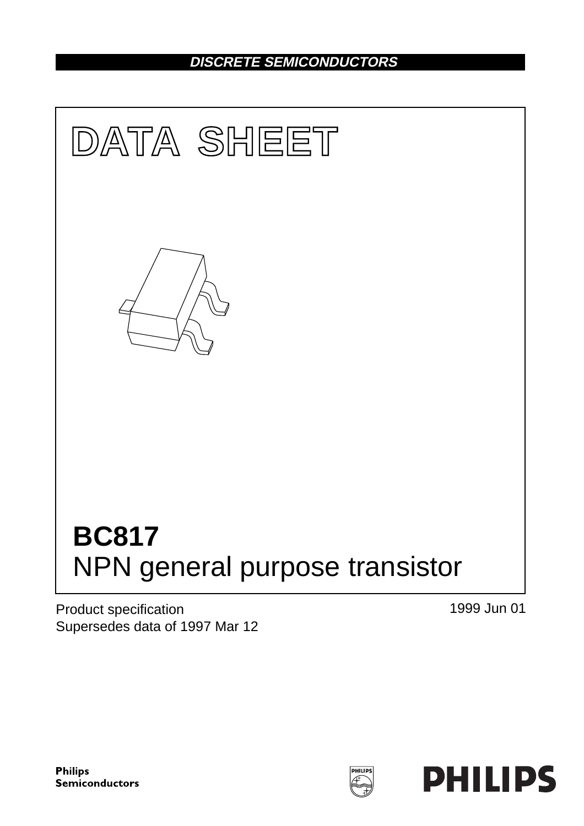## **DISCRETE SEMICONDUCTORS**



Product specification Supersedes data of 1997 Mar 12 1999 Jun 01

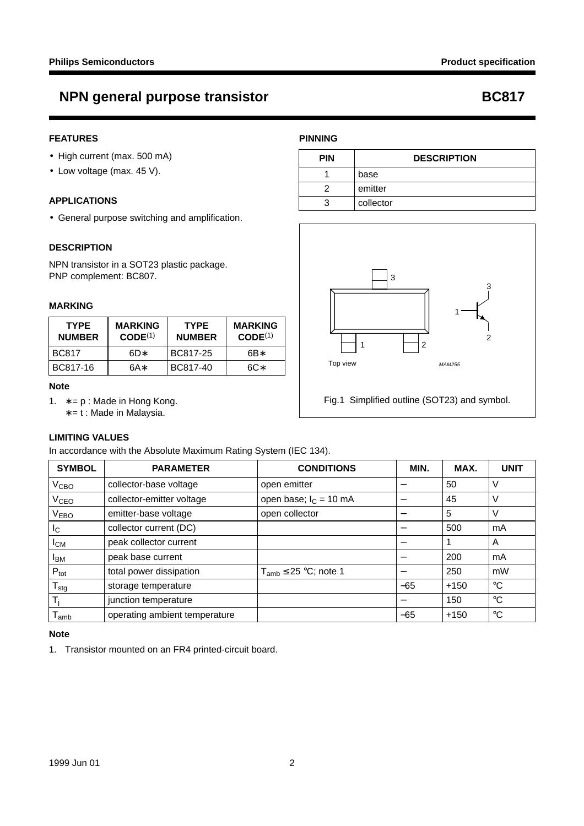## **NPN general purpose transistor CONFORT REPAIRING PROPERTY RECORD BC817**

### **FEATURES**

- High current (max. 500 mA)
- Low voltage (max. 45 V).

#### **APPLICATIONS**

• General purpose switching and amplification.

#### **DESCRIPTION**

NPN transistor in a SOT23 plastic package. PNP complement: BC807.

#### **MARKING**

| <b>TYPE</b><br><b>NUMBER</b> | <b>MARKING</b><br>CODE <sup>(1)</sup> | <b>TYPE</b><br><b>NUMBER</b> | <b>MARKING</b><br>CODE <sup>(1)</sup> |  |
|------------------------------|---------------------------------------|------------------------------|---------------------------------------|--|
| <b>BC817</b>                 | 6D*                                   | BC817-25                     | 6B*                                   |  |
| BC817-16                     | 6A*                                   | BC817-40                     | 6C*                                   |  |

#### **Note**

1.  $* = p$ : Made in Hong Kong.

∗ = t : Made in Malaysia.

### **LIMITING VALUES**

In accordance with the Absolute Maximum Rating System (IEC 134).

| <b>SYMBOL</b>              | <b>PARAMETER</b>              | <b>CONDITIONS</b>            | MIN.  | MAX.   | <b>UNIT</b> |
|----------------------------|-------------------------------|------------------------------|-------|--------|-------------|
| V <sub>CBO</sub>           | collector-base voltage        | open emitter                 |       | 50     | V           |
| V <sub>CEO</sub>           | collector-emitter voltage     | open base; $I_C = 10$ mA     |       | 45     | V           |
| <b>VEBO</b>                | emitter-base voltage          | open collector               | -     | 5      | V           |
| $I_{\rm C}$                | collector current (DC)        |                              |       | 500    | mA          |
| $I_{CM}$                   | peak collector current        |                              |       |        | A           |
| <b>I</b> BM                | peak base current             |                              |       | 200    | mA          |
| $P_{\text{tot}}$           | total power dissipation       | $T_{amb} \leq 25$ °C; note 1 | -     | 250    | mW          |
| ${\mathsf T}_{\text{stg}}$ | storage temperature           |                              | $-65$ | $+150$ | $^{\circ}C$ |
| T,                         | junction temperature          |                              |       | 150    | $^{\circ}C$ |
| $I_{amb}$                  | operating ambient temperature |                              | $-65$ | $+150$ | $^{\circ}C$ |

#### **Note**

1. Transistor mounted on an FR4 printed-circuit board.

### **PINNING**

| <b>PIN</b> | <b>DESCRIPTION</b> |  |
|------------|--------------------|--|
|            | base               |  |
|            | emitter            |  |
|            | collector          |  |



Fig.1 Simplified outline (SOT23) and symbol.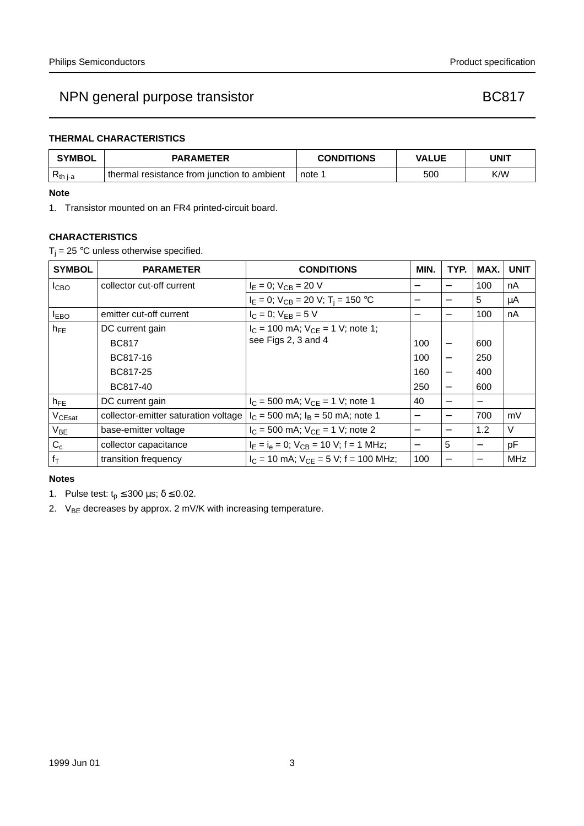### **THERMAL CHARACTERISTICS**

| <b>SYMBOL</b>          | <b>PARAMETER</b>                            | <b>CONDITIONS</b> | <b>VALUE</b> | <b>UNIT</b> |
|------------------------|---------------------------------------------|-------------------|--------------|-------------|
| $ R$ <sub>th i-a</sub> | thermal resistance from junction to ambient | note 1            | 500          | K/W         |

#### **Note**

1. Transistor mounted on an FR4 printed-circuit board.

#### **CHARACTERISTICS**

 $T_i = 25$  °C unless otherwise specified.

| <b>SYMBOL</b>      | <b>PARAMETER</b>                     | <b>CONDITIONS</b>                             | MIN.                     | TYP.                     | MAX. | <b>UNIT</b> |
|--------------------|--------------------------------------|-----------------------------------------------|--------------------------|--------------------------|------|-------------|
| I <sub>CBO</sub>   | collector cut-off current            | $I_E = 0$ ; $V_{CB} = 20$ V                   |                          |                          | 100  | nA          |
|                    |                                      | $I_E = 0$ ; $V_{CB} = 20$ V; $T_i = 150$ °C   |                          |                          | 5    | μA          |
| $I_{EBO}$          | emitter cut-off current              | $I_C = 0$ ; $V_{FB} = 5$ V                    | —                        |                          | 100  | nA          |
| $h_{FE}$           | DC current gain                      | $I_C = 100$ mA; $V_{CE} = 1$ V; note 1;       |                          |                          |      |             |
|                    | <b>BC817</b>                         | see Figs 2, 3 and 4                           | 100                      |                          | 600  |             |
|                    | BC817-16                             |                                               | 100                      | $\overline{\phantom{0}}$ | 250  |             |
|                    | BC817-25                             |                                               | 160                      | $\overline{\phantom{0}}$ | 400  |             |
|                    | BC817-40                             |                                               | 250                      | $\overline{\phantom{0}}$ | 600  |             |
| $h_{FE}$           | DC current gain                      | $I_C = 500$ mA; $V_{CE} = 1$ V; note 1        | 40                       | —                        |      |             |
| V <sub>CEsat</sub> | collector-emitter saturation voltage | $I_C = 500$ mA; $I_B = 50$ mA; note 1         | $\overline{\phantom{m}}$ | —                        | 700  | mV          |
| $V_{BE}$           | base-emitter voltage                 | $I_C = 500$ mA; $V_{CF} = 1$ V; note 2        |                          | —                        | 1.2  | V           |
| $C_c$              | collector capacitance                | $I_E = I_e = 0$ ; $V_{CB} = 10$ V; f = 1 MHz; | $\overline{\phantom{0}}$ | 5                        |      | pF          |
| $f_T$              | transition frequency                 | $I_C = 10$ mA; $V_{CE} = 5$ V; f = 100 MHz;   | 100                      |                          |      | MHz         |

#### **Notes**

- 1. Pulse test:  $t_p \le 300 \,\mu s$ ;  $\delta \le 0.02$ .
- 2.  $V_{BE}$  decreases by approx. 2 mV/K with increasing temperature.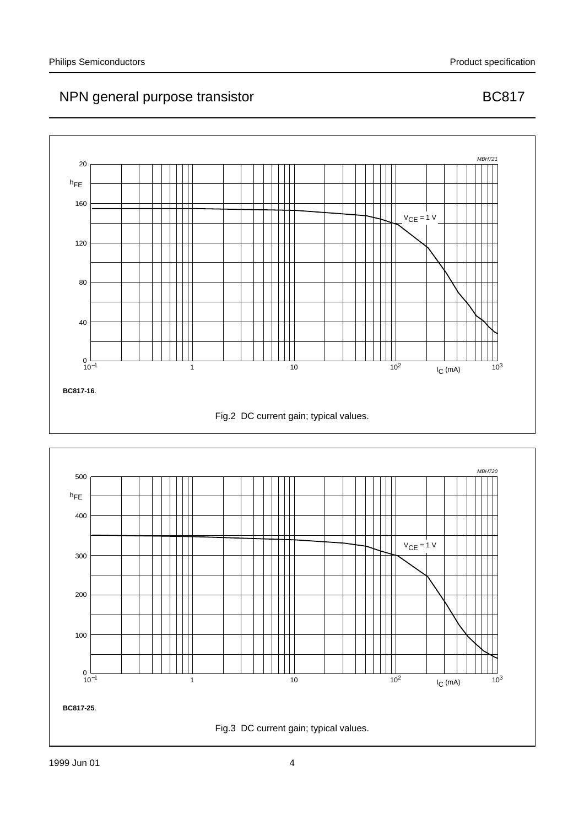

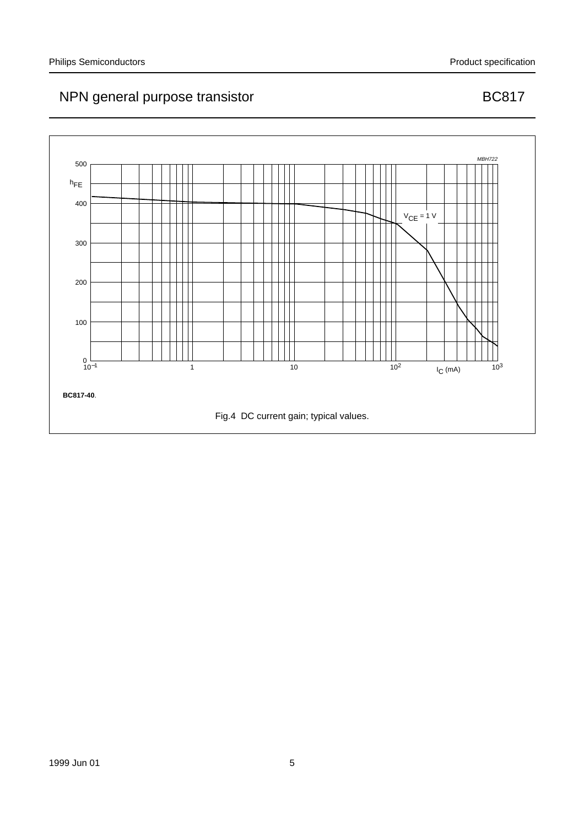

#### 1999 Jun 01 5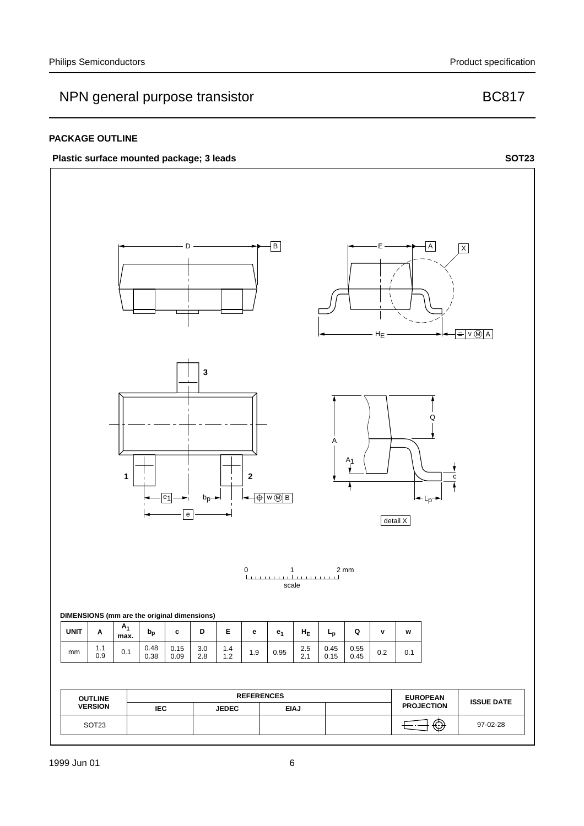#### **PACKAGE OUTLINE**

### Plastic surface mounted package; 3 leads **SOT23**

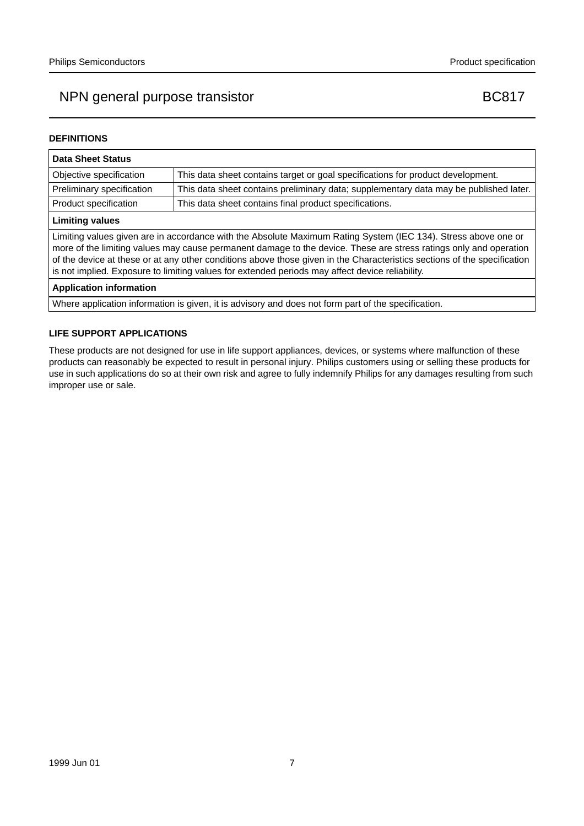### **DEFINITIONS**

| <b>Data Sheet Status</b>                                                                                                                                                                                                                                                                                                                                                                                                                                           |                                                                                       |  |  |
|--------------------------------------------------------------------------------------------------------------------------------------------------------------------------------------------------------------------------------------------------------------------------------------------------------------------------------------------------------------------------------------------------------------------------------------------------------------------|---------------------------------------------------------------------------------------|--|--|
| Objective specification                                                                                                                                                                                                                                                                                                                                                                                                                                            | This data sheet contains target or goal specifications for product development.       |  |  |
| Preliminary specification                                                                                                                                                                                                                                                                                                                                                                                                                                          | This data sheet contains preliminary data; supplementary data may be published later. |  |  |
| Product specification                                                                                                                                                                                                                                                                                                                                                                                                                                              | This data sheet contains final product specifications.                                |  |  |
| <b>Limiting values</b>                                                                                                                                                                                                                                                                                                                                                                                                                                             |                                                                                       |  |  |
| Limiting values given are in accordance with the Absolute Maximum Rating System (IEC 134). Stress above one or<br>more of the limiting values may cause permanent damage to the device. These are stress ratings only and operation<br>of the device at these or at any other conditions above those given in the Characteristics sections of the specification<br>is not implied. Exposure to limiting values for extended periods may affect device reliability. |                                                                                       |  |  |
| <b>Application information</b>                                                                                                                                                                                                                                                                                                                                                                                                                                     |                                                                                       |  |  |

Where application information is given, it is advisory and does not form part of the specification.

#### **LIFE SUPPORT APPLICATIONS**

These products are not designed for use in life support appliances, devices, or systems where malfunction of these products can reasonably be expected to result in personal injury. Philips customers using or selling these products for use in such applications do so at their own risk and agree to fully indemnify Philips for any damages resulting from such improper use or sale.